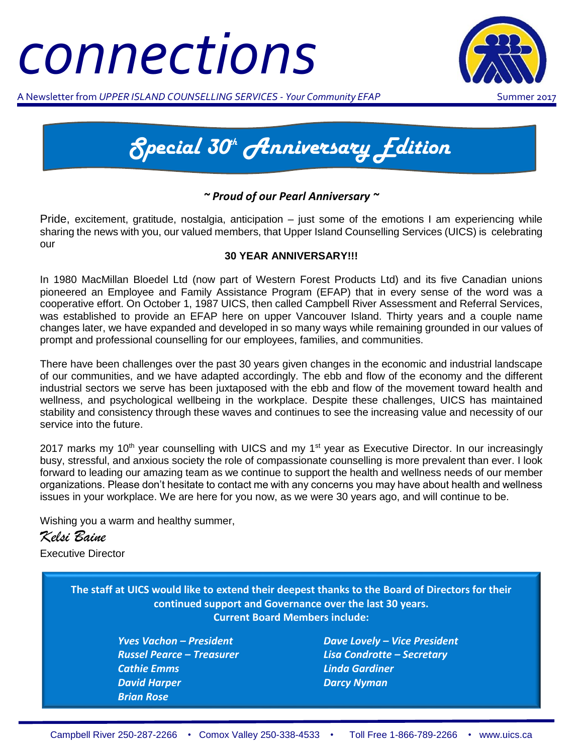# *connections*



A Newsletter from *UPPER ISLAND COUNSELLING SERVICES - Your Community EFAP* Summer 2017



### *~ Proud of our Pearl Anniversary ~*

Pride, excitement, gratitude, nostalgia, anticipation – just some of the emotions I am experiencing while sharing the news with you, our valued members, that Upper Island Counselling Services (UICS) is celebrating our

### **30 YEAR ANNIVERSARY!!!**

In 1980 MacMillan Bloedel Ltd (now part of Western Forest Products Ltd) and its five Canadian unions pioneered an Employee and Family Assistance Program (EFAP) that in every sense of the word was a cooperative effort. On October 1, 1987 UICS, then called Campbell River Assessment and Referral Services, was established to provide an EFAP here on upper Vancouver Island. Thirty years and a couple name changes later, we have expanded and developed in so many ways while remaining grounded in our values of prompt and professional counselling for our employees, families, and communities.

There have been challenges over the past 30 years given changes in the economic and industrial landscape of our communities, and we have adapted accordingly. The ebb and flow of the economy and the different industrial sectors we serve has been juxtaposed with the ebb and flow of the movement toward health and wellness, and psychological wellbeing in the workplace. Despite these challenges, UICS has maintained stability and consistency through these waves and continues to see the increasing value and necessity of our service into the future.

2017 marks my 10<sup>th</sup> year counselling with UICS and my 1<sup>st</sup> year as Executive Director. In our increasingly busy, stressful, and anxious society the role of compassionate counselling is more prevalent than ever. I look forward to leading our amazing team as we continue to support the health and wellness needs of our member organizations. Please don't hesitate to contact me with any concerns you may have about health and wellness issues in your workplace. We are here for you now, as we were 30 years ago, and will continue to be.

Wishing you a warm and healthy summer,

*Kelsi Baine* Executive Director

> **The staff at UICS would like to extend their deepest thanks to the Board of Directors for their continued support and Governance over the last 30 years. Current Board Members include:**

> > *Cathie Emms Linda Gardiner David Harper Darcy Nyman Brian Rose*

*Yves Vachon – President Dave Lovely – Vice President Russel Pearce – Treasurer Lisa Condrotte – Secretary*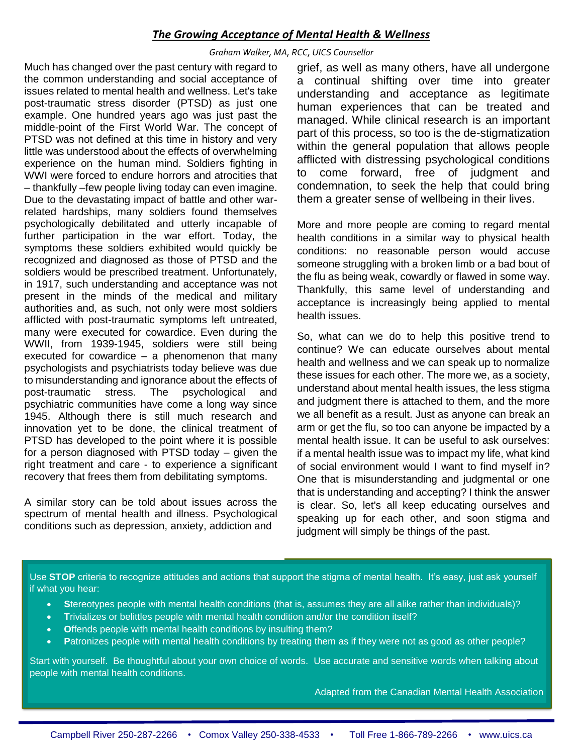# *The Growing Acceptance of Mental Health & Wellness*

*Graham Walker, MA, RCC, UICS Counsellor*

Much has changed over the past century with regard to the common understanding and social acceptance of issues related to mental health and wellness. Let's take post-traumatic stress disorder (PTSD) as just one example. One hundred years ago was just past the middle-point of the First World War. The concept of PTSD was not defined at this time in history and very little was understood about the effects of overwhelming experience on the human mind. Soldiers fighting in WWI were forced to endure horrors and atrocities that – thankfully –few people living today can even imagine. Due to the devastating impact of battle and other warrelated hardships, many soldiers found themselves psychologically debilitated and utterly incapable of further participation in the war effort. Today, the symptoms these soldiers exhibited would quickly be recognized and diagnosed as those of PTSD and the soldiers would be prescribed treatment. Unfortunately, in 1917, such understanding and acceptance was not present in the minds of the medical and military authorities and, as such, not only were most soldiers afflicted with post-traumatic symptoms left untreated, many were executed for cowardice. Even during the WWII, from 1939-1945, soldiers were still being executed for cowardice – a phenomenon that many psychologists and psychiatrists today believe was due to misunderstanding and ignorance about the effects of post-traumatic stress. The psychological and psychiatric communities have come a long way since 1945. Although there is still much research and innovation yet to be done, the clinical treatment of PTSD has developed to the point where it is possible for a person diagnosed with PTSD today – given the right treatment and care - to experience a significant recovery that frees them from debilitating symptoms.

A similar story can be told about issues across the spectrum of mental health and illness. Psychological conditions such as depression, anxiety, addiction and

grief, as well as many others, have all undergone a continual shifting over time into greater understanding and acceptance as legitimate human experiences that can be treated and managed. While clinical research is an important part of this process, so too is the de-stigmatization within the general population that allows people afflicted with distressing psychological conditions to come forward, free of judgment and condemnation, to seek the help that could bring them a greater sense of wellbeing in their lives.

More and more people are coming to regard mental health conditions in a similar way to physical health conditions: no reasonable person would accuse someone struggling with a broken limb or a bad bout of the flu as being weak, cowardly or flawed in some way. Thankfully, this same level of understanding and acceptance is increasingly being applied to mental health issues.

So, what can we do to help this positive trend to continue? We can educate ourselves about mental health and wellness and we can speak up to normalize these issues for each other. The more we, as a society, understand about mental health issues, the less stigma and judgment there is attached to them, and the more we all benefit as a result. Just as anyone can break an arm or get the flu, so too can anyone be impacted by a mental health issue. It can be useful to ask ourselves: if a mental health issue was to impact my life, what kind of social environment would I want to find myself in? One that is misunderstanding and judgmental or one that is understanding and accepting? I think the answer is clear. So, let's all keep educating ourselves and speaking up for each other, and soon stigma and judgment will simply be things of the past.

Use **STOP** criteria to recognize attitudes and actions that support the stigma of mental health. It's easy, just ask yourself if what you hear:

- **Stereotypes people with mental health conditions (that is, assumes they are all alike rather than individuals)?**
- **Ti**rivializes or belittles people with mental health condition and/or the condition itself?
- **O**ffends people with mental health conditions by insulting them?
- Patronizes people with mental health conditions by treating them as if they were not as good as other people?

Start with yourself. Be thoughtful about your own choice of words. Use accurate and sensitive words when talking about people with mental health conditions.

Adapted from the Canadian Mental Health Association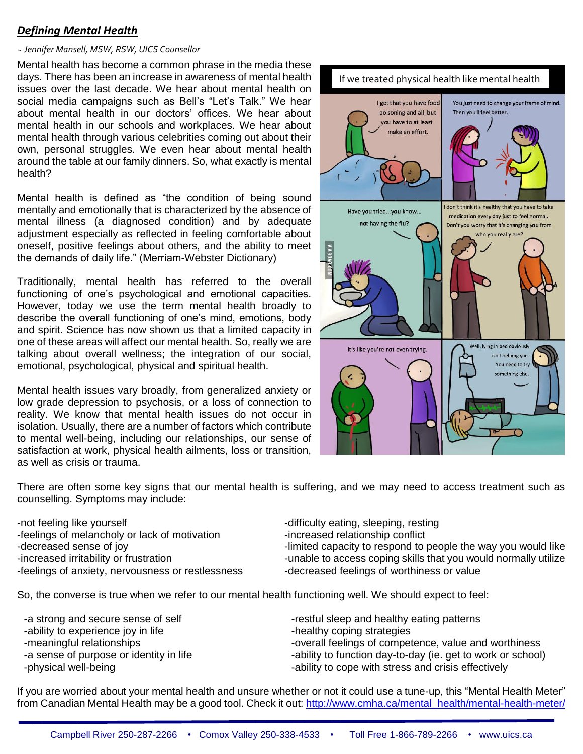# *Defining Mental Health*

### *~ Jennifer Mansell, MSW, RSW, UICS Counsellor*

Mental health has become a common phrase in the media these days. There has been an increase in awareness of mental health issues over the last decade. We hear about mental health on social media campaigns such as Bell's "Let's Talk." We hear about mental health in our doctors' offices. We hear about mental health in our schools and workplaces. We hear about mental health through various celebrities coming out about their own, personal struggles. We even hear about mental health around the table at our family dinners. So, what exactly is mental health?

Mental health is defined as "the condition of being sound mentally and emotionally that is characterized by the absence of mental illness (a diagnosed condition) and by adequate adjustment especially as reflected in feeling comfortable about oneself, positive feelings about others, and the ability to meet the demands of daily life." (Merriam-Webster Dictionary)

Traditionally, mental health has referred to the overall functioning of one's psychological and emotional capacities. However, today we use the term mental health broadly to describe the overall functioning of one's mind, emotions, body and spirit. Science has now shown us that a limited capacity in one of these areas will affect our mental health. So, really we are talking about overall wellness; the integration of our social, emotional, psychological, physical and spiritual health.

Mental health issues vary broadly, from generalized anxiety or low grade depression to psychosis, or a loss of connection to reality. We know that mental health issues do not occur in isolation. Usually, there are a number of factors which contribute to mental well-being, including our relationships, our sense of satisfaction at work, physical health ailments, loss or transition, as well as crisis or trauma.



There are often some key signs that our mental health is suffering, and we may need to access treatment such as counselling. Symptoms may include:

-not feeling like yourself -feelings of melancholy or lack of motivation -decreased sense of joy -increased irritability or frustration -feelings of anxiety, nervousness or restlessness -difficulty eating, sleeping, resting -increased relationship conflict -limited capacity to respond to people the way you would like -unable to access coping skills that you would normally utilize -decreased feelings of worthiness or value

So, the converse is true when we refer to our mental health functioning well. We should expect to feel:

-a strong and secure sense of self -ability to experience joy in life -meaningful relationships -a sense of purpose or identity in life -physical well-being

-restful sleep and healthy eating patterns -healthy coping strategies -overall feelings of competence, value and worthiness -ability to function day-to-day (ie. get to work or school) -ability to cope with stress and crisis effectively

If you are worried about your mental health and unsure whether or not it could use a tune-up, this "Mental Health Meter" from Canadian Mental Health may be a good tool. Check it out: [http://www.cmha.ca/mental\\_health/mental-health-meter/](http://www.cmha.ca/mental_health/mental-health-meter/)